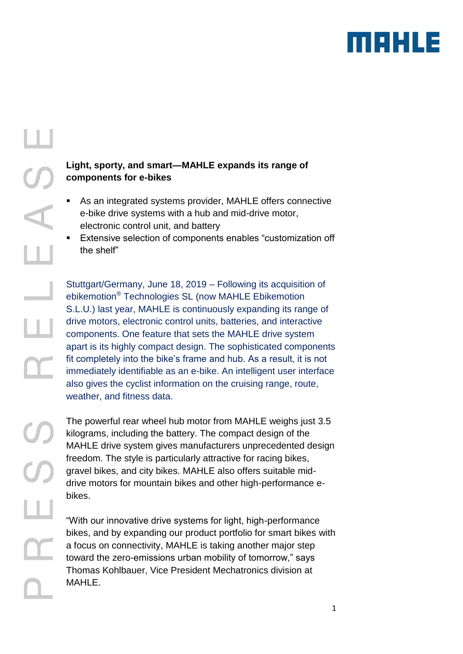

# **Light, sporty, and smart—MAHLE expands its range of components for e-bikes**

- As an integrated systems provider, MAHLE offers connective e-bike drive systems with a hub and mid-drive motor, electronic control unit, and battery
- Extensive selection of components enables "customization off the shelf"

Stuttgart/Germany, June 18, 2019 – Following its acquisition of ebikemotion® Technologies SL (now MAHLE Ebikemotion S.L.U.) last year, MAHLE is continuously expanding its range of drive motors, electronic control units, batteries, and interactive components. One feature that sets the MAHLE drive system apart is its highly compact design. The sophisticated components fit completely into the bike's frame and hub. As a result, it is not immediately identifiable as an e-bike. An intelligent user interface also gives the cyclist information on the cruising range, route, weather, and fitness data.

The powerful rear wheel hub motor from MAHLE weighs just 3.5 kilograms, including the battery. The compact design of the MAHLE drive system gives manufacturers unprecedented design freedom. The style is particularly attractive for racing bikes, gravel bikes, and city bikes. MAHLE also offers suitable middrive motors for mountain bikes and other high-performance ebikes.

"With our innovative drive systems for light, high-performance bikes, and by expanding our product portfolio for smart bikes with a focus on connectivity, MAHLE is taking another major step toward the zero-emissions urban mobility of tomorrow," says Thomas Kohlbauer, Vice President Mechatronics division at MAHLE.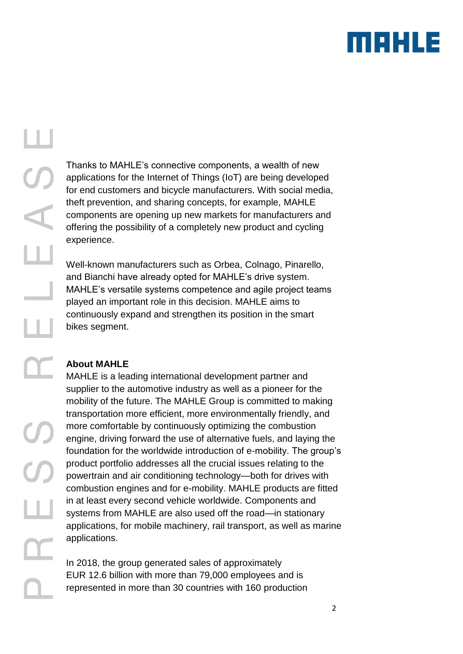

# $\overline{L}$

Thanks to MAHLE's connective components, a wealth of new applications for the Internet of Things (IoT) are being developed for end customers and bicycle manufacturers. With social media, theft prevention, and sharing concepts, for example, MAHLE components are opening up new markets for manufacturers and offering the possibility of a completely new product and cycling experience.

Well-known manufacturers such as Orbea, Colnago, Pinarello, and Bianchi have already opted for MAHLE's drive system. MAHLE's versatile systems competence and agile project teams played an important role in this decision. MAHLE aims to continuously expand and strengthen its position in the smart bikes segment.

# **About MAHLE**

MAHLE is a leading international development partner and supplier to the automotive industry as well as a pioneer for the mobility of the future. The MAHLE Group is committed to making transportation more efficient, more environmentally friendly, and more comfortable by continuously optimizing the combustion engine, driving forward the use of alternative fuels, and laying the foundation for the worldwide introduction of e-mobility. The group's product portfolio addresses all the crucial issues relating to the powertrain and air conditioning technology—both for drives with combustion engines and for e-mobility. MAHLE products are fitted in at least every second vehicle worldwide. Components and systems from MAHLE are also used off the road—in stationary applications, for mobile machinery, rail transport, as well as marine applications.

In 2018, the group generated sales of approximately EUR 12.6 billion with more than 79,000 employees and is represented in more than 30 countries with 160 production